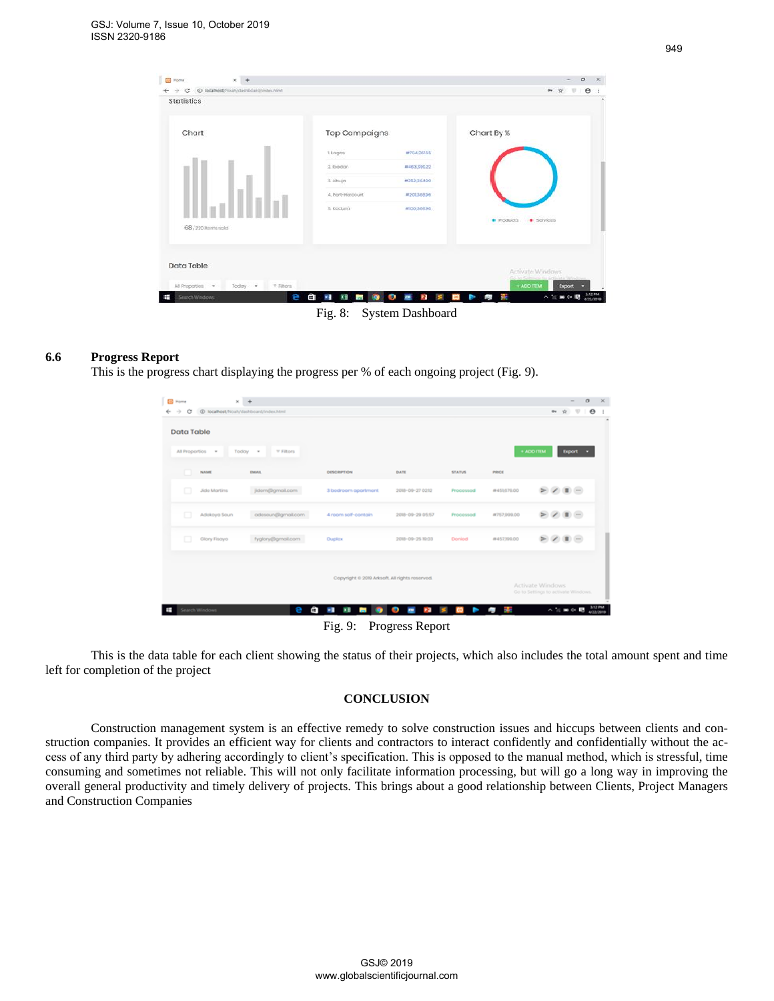| <b>Bill</b> Home<br>@ locaftest/ficult/dashboard/indechtml<br>$\rightarrow$<br>$\circ$ |                                       |                                   |            | $\theta$<br>$0+1$                                    |
|----------------------------------------------------------------------------------------|---------------------------------------|-----------------------------------|------------|------------------------------------------------------|
| Statistics                                                                             |                                       |                                   |            |                                                      |
| <b>Chart</b>                                                                           | Top Campaigns                         |                                   | Chart By % |                                                      |
|                                                                                        | t Lagos                               | #70426/05                         |            |                                                      |
|                                                                                        | 2. Ibiodiar                           | #463,395.22                       |            |                                                      |
|                                                                                        | 3. Abuja                              | #352.36490                        |            |                                                      |
|                                                                                        | 4. Port-Harcourt                      | #20136606                         |            |                                                      |
|                                                                                        | 5. Koduno                             | W300,36686                        |            |                                                      |
| 68, 220 items sold                                                                     |                                       |                                   | · Products | · Sorvices                                           |
| Data Table                                                                             |                                       |                                   |            | Activate Windows<br>Go to Seltives to actuate Wednes |
| All Proportion<br>Today .<br>$=$ Filtors                                               |                                       |                                   |            | $+$ ADD ITEM<br>Export -                             |
| œ<br>SearchWindows                                                                     | â<br>文書<br>×.<br><b>Contract</b><br>۰ | $\bullet$<br>$\overline{m}$<br>P3 | ł.<br>P.   | $\wedge$ is $\equiv$ 4. E $_{4020019}$               |

Fig. 8: System Dashboard

## **6.6 Progress Report**

This is the progress chart displaying the progress per % of each ongoing project (Fig. 9).

| Ġ<br>÷<br><b>Data Table</b> | @ localhost/Noah/dashboard/index.html |                                                |                         |               |                 | $\bullet$<br>$\leftrightarrow$<br>$\dot{M}$             |
|-----------------------------|---------------------------------------|------------------------------------------------|-------------------------|---------------|-----------------|---------------------------------------------------------|
| All Proportios v            | <b>V Filtors</b><br>Today =           |                                                |                         |               |                 | + ADD ITEM<br>Export                                    |
| NAME                        | <b>EMAIL</b>                          | <b>DESCRIPTION</b>                             | DATE                    | <b>STATUS</b> | PRICE           |                                                         |
| o<br><b>Jido Martins</b>    | jidom@gmolt.com                       | 3 bedroom apartment                            | 2018-09-27 0212         | Processed     | #451879.00      | $\sim$                                                  |
| □<br>Adokoya Soun           | adesoun@gmail.com                     | 4 room self-contain                            | 2018-09-20 05:57        | Processed     | #757,999.00     | $\sim$<br>⋗                                             |
| Glory Fisayo                | fyglory@gmail.com                     | <b>Duplox</b>                                  | 2018-09-25 19:03        | Donicd        | #457,199.00     | $\sim$<br>Þ                                             |
|                             |                                       | Copyright @ 2019 Arksoft. All rights reserved. |                         |               |                 |                                                         |
|                             |                                       |                                                |                         |               |                 | Activate Windows<br>Go to Settings to activate Windows. |
| Search Windows              | Ô<br>e                                | å,<br>×B<br><b>Constitution</b><br>$\bullet$   | O<br><b>Part</b><br>- 2 | ь             | <b>Bu</b><br>ä, | 3/12 PM<br>△ 法 ■ ※ 眼                                    |

Fig. 9: Progress Report

This is the data table for each client showing the status of their projects, which also includes the total amount spent and time left for completion of the project

## **CONCLUSION**

Construction management system is an effective remedy to solve construction issues and hiccups between clients and construction companies. It provides an efficient way for clients and contractors to interact confidently and confidentially without the access of any third party by adhering accordingly to client's specification. This is opposed to the manual method, which is stressful, time consuming and sometimes not reliable. This will not only facilitate information processing, but will go a long way in improving the overall general productivity and timely delivery of projects. This brings about a good relationship between Clients, Project Managers and Construction Companies